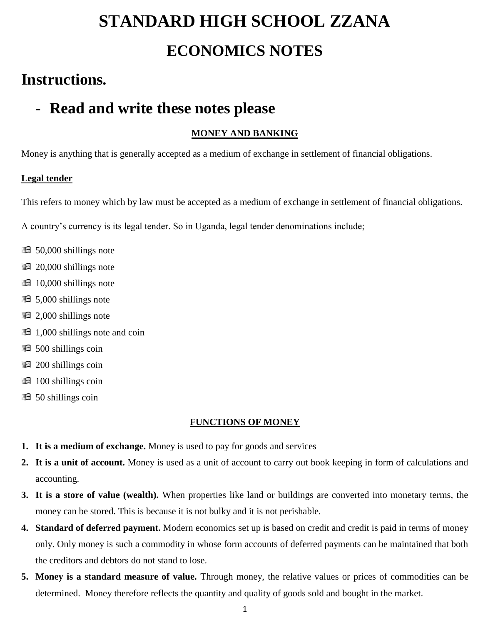# **STANDARD HIGH SCHOOL ZZANA ECONOMICS NOTES**

## **Instructions.**

## - **Read and write these notes please**

## **MONEY AND BANKING**

Money is anything that is generally accepted as a medium of exchange in settlement of financial obligations.

## **Legal tender**

This refers to money which by law must be accepted as a medium of exchange in settlement of financial obligations.

A country's currency is its legal tender. So in Uganda, legal tender denominations include;

- **60.000** shillings note
- **20,000 shillings note**
- **10,000 shillings note**
- **6.000** shillings note
- **2,000 shillings note**
- **1,000 shillings note and coin**
- **600** shillings coin
- **200 shillings coin**
- **100 shillings coin**
- **60** 50 shillings coin

## **FUNCTIONS OF MONEY**

- **1. It is a medium of exchange.** Money is used to pay for goods and services
- **2. It is a unit of account.** Money is used as a unit of account to carry out book keeping in form of calculations and accounting.
- **3. It is a store of value (wealth).** When properties like land or buildings are converted into monetary terms, the money can be stored. This is because it is not bulky and it is not perishable.
- **4. Standard of deferred payment.** Modern economics set up is based on credit and credit is paid in terms of money only. Only money is such a commodity in whose form accounts of deferred payments can be maintained that both the creditors and debtors do not stand to lose.
- **5. Money is a standard measure of value.** Through money, the relative values or prices of commodities can be determined. Money therefore reflects the quantity and quality of goods sold and bought in the market.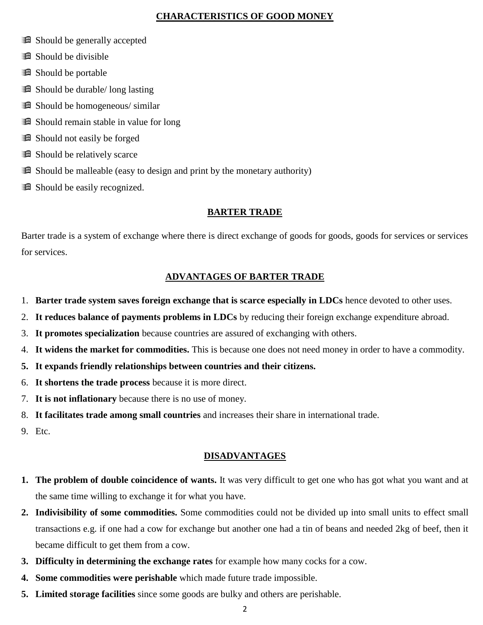## **CHARACTERISTICS OF GOOD MONEY**

- **Example 3** Should be generally accepted
- **Example 3 Should be divisible**
- **B** Should be portable
- **Exercise** Should be durable/ long lasting
- **Exercise** Should be homogeneous/ similar
- **B** Should remain stable in value for long
- **B** Should not easily be forged
- **B** Should be relatively scarce
- **Example 1** Should be malleable (easy to design and print by the monetary authority)
- **B** Should be easily recognized.

## **BARTER TRADE**

Barter trade is a system of exchange where there is direct exchange of goods for goods, goods for services or services for services.

## **ADVANTAGES OF BARTER TRADE**

- 1. **Barter trade system saves foreign exchange that is scarce especially in LDCs** hence devoted to other uses.
- 2. **It reduces balance of payments problems in LDCs** by reducing their foreign exchange expenditure abroad.
- 3. **It promotes specialization** because countries are assured of exchanging with others.
- 4. **It widens the market for commodities.** This is because one does not need money in order to have a commodity.
- **5. It expands friendly relationships between countries and their citizens.**
- 6. **It shortens the trade process** because it is more direct.
- 7. **It is not inflationary** because there is no use of money.
- 8. **It facilitates trade among small countries** and increases their share in international trade.
- 9. Etc.

## **DISADVANTAGES**

- **1. The problem of double coincidence of wants.** It was very difficult to get one who has got what you want and at the same time willing to exchange it for what you have.
- **2. Indivisibility of some commodities.** Some commodities could not be divided up into small units to effect small transactions e.g. if one had a cow for exchange but another one had a tin of beans and needed 2kg of beef, then it became difficult to get them from a cow.
- **3. Difficulty in determining the exchange rates** for example how many cocks for a cow.
- **4. Some commodities were perishable** which made future trade impossible.
- **5. Limited storage facilities** since some goods are bulky and others are perishable.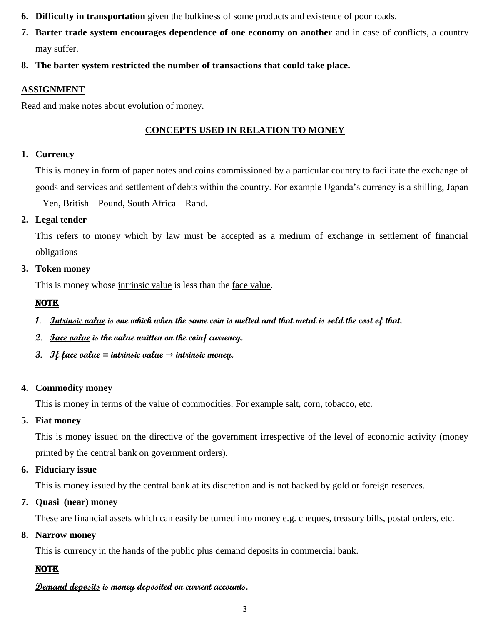- **6. Difficulty in transportation** given the bulkiness of some products and existence of poor roads.
- **7. Barter trade system encourages dependence of one economy on another** and in case of conflicts, a country may suffer.
- **8. The barter system restricted the number of transactions that could take place.**

## **ASSIGNMENT**

Read and make notes about evolution of money.

## **CONCEPTS USED IN RELATION TO MONEY**

## **1. Currency**

This is money in form of paper notes and coins commissioned by a particular country to facilitate the exchange of goods and services and settlement of debts within the country. For example Uganda's currency is a shilling, Japan – Yen, British – Pound, South Africa – Rand.

## **2. Legal tender**

This refers to money which by law must be accepted as a medium of exchange in settlement of financial obligations

## **3. Token money**

This is money whose intrinsic value is less than the <u>face value</u>.

## NOTE

- **1. Intrinsic value is one which when the same coin is melted and that metal is sold the cost of that.**
- **2. Face value is the value written on the coin/ currency.**
- **3.** If face value = intrinsic value  $\rightarrow$  intrinsic money.

## **4. Commodity money**

This is money in terms of the value of commodities. For example salt, corn, tobacco, etc.

## **5. Fiat money**

This is money issued on the directive of the government irrespective of the level of economic activity (money printed by the central bank on government orders).

## **6. Fiduciary issue**

This is money issued by the central bank at its discretion and is not backed by gold or foreign reserves.

## **7. Quasi (near) money**

These are financial assets which can easily be turned into money e.g. cheques, treasury bills, postal orders, etc.

## **8. Narrow money**

This is currency in the hands of the public plus demand deposits in commercial bank.

## **NOTE**

## **Demand deposits is money deposited on current accounts.**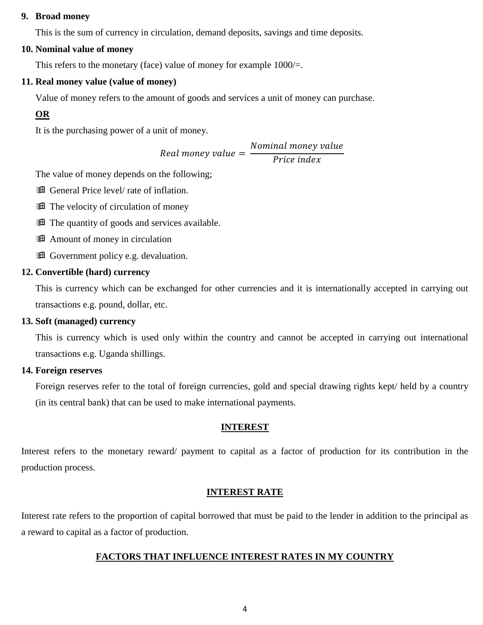### **9. Broad money**

This is the sum of currency in circulation, demand deposits, savings and time deposits.

### **10. Nominal value of money**

This refers to the monetary (face) value of money for example  $1000/=$ .

#### **11. Real money value (value of money)**

Value of money refers to the amount of goods and services a unit of money can purchase.

## **OR**

It is the purchasing power of a unit of money.

Real money value = Nominal money value Price index

The value of money depends on the following;

**Example 3** General Price level/ rate of inflation.

The velocity of circulation of money

The quantity of goods and services available.

**A** Amount of money in circulation

**Example 3** Government policy e.g. devaluation.

#### **12. Convertible (hard) currency**

This is currency which can be exchanged for other currencies and it is internationally accepted in carrying out transactions e.g. pound, dollar, etc.

#### **13. Soft (managed) currency**

This is currency which is used only within the country and cannot be accepted in carrying out international transactions e.g. Uganda shillings.

#### **14. Foreign reserves**

Foreign reserves refer to the total of foreign currencies, gold and special drawing rights kept/ held by a country (in its central bank) that can be used to make international payments.

#### **INTEREST**

Interest refers to the monetary reward/ payment to capital as a factor of production for its contribution in the production process.

#### **INTEREST RATE**

Interest rate refers to the proportion of capital borrowed that must be paid to the lender in addition to the principal as a reward to capital as a factor of production.

## **FACTORS THAT INFLUENCE INTEREST RATES IN MY COUNTRY**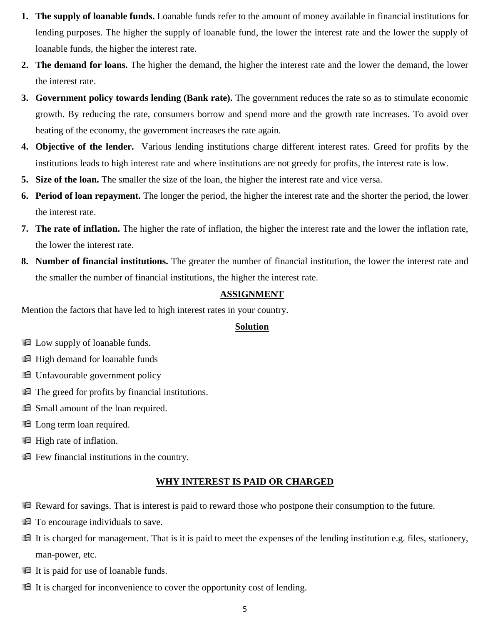- **1. The supply of loanable funds.** Loanable funds refer to the amount of money available in financial institutions for lending purposes. The higher the supply of loanable fund, the lower the interest rate and the lower the supply of loanable funds, the higher the interest rate.
- **2. The demand for loans.** The higher the demand, the higher the interest rate and the lower the demand, the lower the interest rate.
- **3. Government policy towards lending (Bank rate).** The government reduces the rate so as to stimulate economic growth. By reducing the rate, consumers borrow and spend more and the growth rate increases. To avoid over heating of the economy, the government increases the rate again.
- **4. Objective of the lender.** Various lending institutions charge different interest rates. Greed for profits by the institutions leads to high interest rate and where institutions are not greedy for profits, the interest rate is low.
- **5. Size of the loan.** The smaller the size of the loan, the higher the interest rate and vice versa.
- **6. Period of loan repayment.** The longer the period, the higher the interest rate and the shorter the period, the lower the interest rate.
- **7. The rate of inflation.** The higher the rate of inflation, the higher the interest rate and the lower the inflation rate, the lower the interest rate.
- **8. Number of financial institutions.** The greater the number of financial institution, the lower the interest rate and the smaller the number of financial institutions, the higher the interest rate.

## **ASSIGNMENT**

Mention the factors that have led to high interest rates in your country.

## **Solution**

- **Example 1** Low supply of loanable funds.
- **H** High demand for loanable funds
- **E** Unfavourable government policy
- The greed for profits by financial institutions.
- **Example 3** Small amount of the loan required.
- **Example 1** Long term loan required.
- **H** High rate of inflation.
- Few financial institutions in the country.

#### **WHY INTEREST IS PAID OR CHARGED**

- Reward for savings. That is interest is paid to reward those who postpone their consumption to the future.
- **T** To encourage individuals to save.
- **If is charged for management. That is it is paid to meet the expenses of the lending institution e.g. files, stationery,** man-power, etc.
- It is paid for use of loanable funds.
- It is charged for inconvenience to cover the opportunity cost of lending.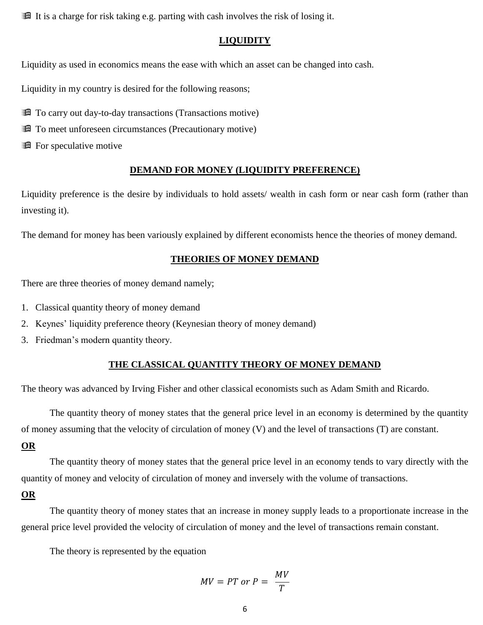**If** It is a charge for risk taking e.g. parting with cash involves the risk of losing it.

### **LIQUIDITY**

Liquidity as used in economics means the ease with which an asset can be changed into cash.

Liquidity in my country is desired for the following reasons;

- **The Contract Contract Contract Contract Contract Contract Contract Contract Contract Contract Contract Contract Contract Contract Contract Contract Contract Contract Contract Contract Contract Contract Contract Contract C**
- **The To meet unforeseen circumstances (Precautionary motive)**
- **Example 3** For speculative motive

#### **DEMAND FOR MONEY (LIQUIDITY PREFERENCE)**

Liquidity preference is the desire by individuals to hold assets/ wealth in cash form or near cash form (rather than investing it).

The demand for money has been variously explained by different economists hence the theories of money demand.

#### **THEORIES OF MONEY DEMAND**

There are three theories of money demand namely;

- 1. Classical quantity theory of money demand
- 2. Keynes' liquidity preference theory (Keynesian theory of money demand)
- 3. Friedman's modern quantity theory.

## **THE CLASSICAL QUANTITY THEORY OF MONEY DEMAND**

The theory was advanced by Irving Fisher and other classical economists such as Adam Smith and Ricardo.

The quantity theory of money states that the general price level in an economy is determined by the quantity of money assuming that the velocity of circulation of money (V) and the level of transactions (T) are constant.

#### **OR**

The quantity theory of money states that the general price level in an economy tends to vary directly with the quantity of money and velocity of circulation of money and inversely with the volume of transactions.

#### **OR**

The quantity theory of money states that an increase in money supply leads to a proportionate increase in the general price level provided the velocity of circulation of money and the level of transactions remain constant.

The theory is represented by the equation

$$
MV = PT \ or \ P = \ \frac{MV}{T}
$$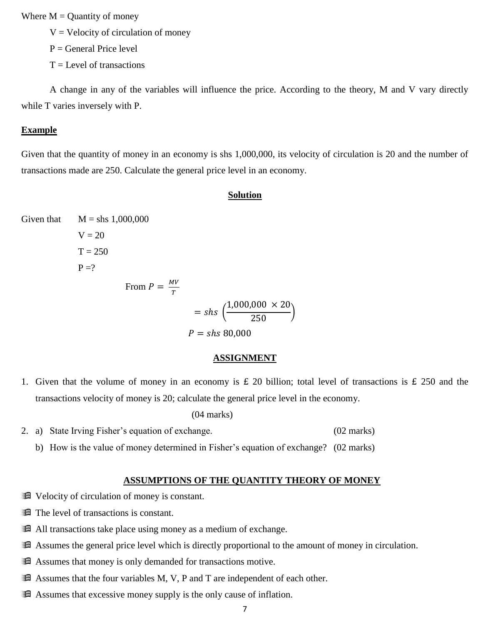Where  $M =$ Quantity of money

 $V =$  Velocity of circulation of money

 $P =$  General Price level

 $T =$ Level of transactions

A change in any of the variables will influence the price. According to the theory, M and V vary directly while T varies inversely with P.

#### **Example**

Given that the quantity of money in an economy is shs 1,000,000, its velocity of circulation is 20 and the number of transactions made are 250. Calculate the general price level in an economy.

#### **Solution**

Given that  $M =$ shs 1,000,000  $V = 20$  $T = 250$  $P = ?$ From  $P = \frac{MV}{T}$ T  $=$  shs  $($  $1,000,000 \times 20$  $\frac{1}{250}$ )  $P =$ shs 80,000

#### **ASSIGNMENT**

1. Given that the volume of money in an economy is £ 20 billion; total level of transactions is £ 250 and the transactions velocity of money is 20; calculate the general price level in the economy.

(04 marks)

- 2. a) State Irving Fisher's equation of exchange. (02 marks)
	- b) How is the value of money determined in Fisher's equation of exchange? (02 marks)

#### **ASSUMPTIONS OF THE QUANTITY THEORY OF MONEY**

- $\mathbb{R}$  Velocity of circulation of money is constant.
- The level of transactions is constant.
- $\mathbb{H}$  All transactions take place using money as a medium of exchange.
- Assumes the general price level which is directly proportional to the amount of money in circulation.
- **Example 3** Assumes that money is only demanded for transactions motive.
- $\mathbb H$  Assumes that the four variables M, V, P and T are independent of each other.
- Assumes that excessive money supply is the only cause of inflation.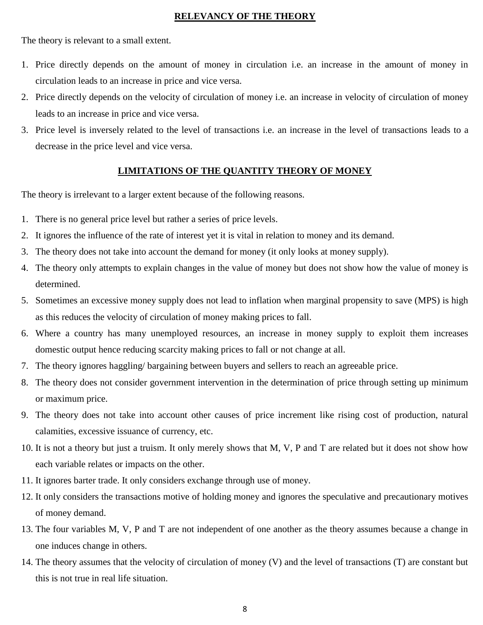## **RELEVANCY OF THE THEORY**

The theory is relevant to a small extent.

- 1. Price directly depends on the amount of money in circulation i.e. an increase in the amount of money in circulation leads to an increase in price and vice versa.
- 2. Price directly depends on the velocity of circulation of money i.e. an increase in velocity of circulation of money leads to an increase in price and vice versa.
- 3. Price level is inversely related to the level of transactions i.e. an increase in the level of transactions leads to a decrease in the price level and vice versa.

## **LIMITATIONS OF THE QUANTITY THEORY OF MONEY**

The theory is irrelevant to a larger extent because of the following reasons.

- 1. There is no general price level but rather a series of price levels.
- 2. It ignores the influence of the rate of interest yet it is vital in relation to money and its demand.
- 3. The theory does not take into account the demand for money (it only looks at money supply).
- 4. The theory only attempts to explain changes in the value of money but does not show how the value of money is determined.
- 5. Sometimes an excessive money supply does not lead to inflation when marginal propensity to save (MPS) is high as this reduces the velocity of circulation of money making prices to fall.
- 6. Where a country has many unemployed resources, an increase in money supply to exploit them increases domestic output hence reducing scarcity making prices to fall or not change at all.
- 7. The theory ignores haggling/ bargaining between buyers and sellers to reach an agreeable price.
- 8. The theory does not consider government intervention in the determination of price through setting up minimum or maximum price.
- 9. The theory does not take into account other causes of price increment like rising cost of production, natural calamities, excessive issuance of currency, etc.
- 10. It is not a theory but just a truism. It only merely shows that M, V, P and T are related but it does not show how each variable relates or impacts on the other.
- 11. It ignores barter trade. It only considers exchange through use of money.
- 12. It only considers the transactions motive of holding money and ignores the speculative and precautionary motives of money demand.
- 13. The four variables M, V, P and T are not independent of one another as the theory assumes because a change in one induces change in others.
- 14. The theory assumes that the velocity of circulation of money (V) and the level of transactions (T) are constant but this is not true in real life situation.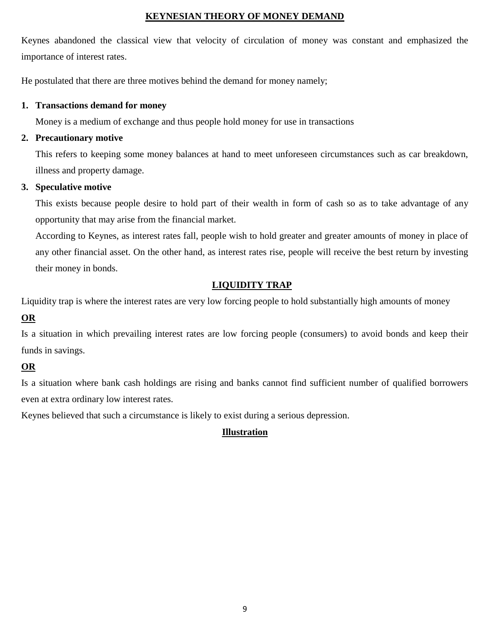## **KEYNESIAN THEORY OF MONEY DEMAND**

Keynes abandoned the classical view that velocity of circulation of money was constant and emphasized the importance of interest rates.

He postulated that there are three motives behind the demand for money namely;

## **1. Transactions demand for money**

Money is a medium of exchange and thus people hold money for use in transactions

## **2. Precautionary motive**

This refers to keeping some money balances at hand to meet unforeseen circumstances such as car breakdown, illness and property damage.

## **3. Speculative motive**

This exists because people desire to hold part of their wealth in form of cash so as to take advantage of any opportunity that may arise from the financial market.

According to Keynes, as interest rates fall, people wish to hold greater and greater amounts of money in place of any other financial asset. On the other hand, as interest rates rise, people will receive the best return by investing their money in bonds.

## **LIQUIDITY TRAP**

Liquidity trap is where the interest rates are very low forcing people to hold substantially high amounts of money

## **OR**

Is a situation in which prevailing interest rates are low forcing people (consumers) to avoid bonds and keep their funds in savings.

## **OR**

Is a situation where bank cash holdings are rising and banks cannot find sufficient number of qualified borrowers even at extra ordinary low interest rates.

Keynes believed that such a circumstance is likely to exist during a serious depression.

## **Illustration**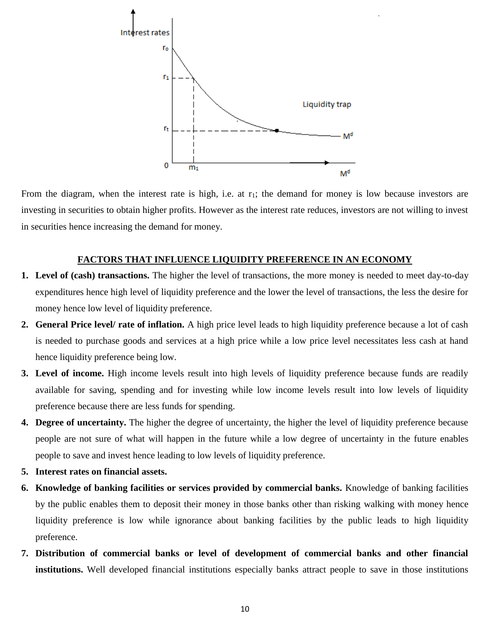

From the diagram, when the interest rate is high, i.e. at r<sub>1</sub>; the demand for money is low because investors are investing in securities to obtain higher profits. However as the interest rate reduces, investors are not willing to invest in securities hence increasing the demand for money.

## **FACTORS THAT INFLUENCE LIQUIDITY PREFERENCE IN AN ECONOMY**

- **1. Level of (cash) transactions.** The higher the level of transactions, the more money is needed to meet day-to-day expenditures hence high level of liquidity preference and the lower the level of transactions, the less the desire for money hence low level of liquidity preference.
- **2. General Price level/ rate of inflation.** A high price level leads to high liquidity preference because a lot of cash is needed to purchase goods and services at a high price while a low price level necessitates less cash at hand hence liquidity preference being low.
- **3. Level of income.** High income levels result into high levels of liquidity preference because funds are readily available for saving, spending and for investing while low income levels result into low levels of liquidity preference because there are less funds for spending.
- **4. Degree of uncertainty.** The higher the degree of uncertainty, the higher the level of liquidity preference because people are not sure of what will happen in the future while a low degree of uncertainty in the future enables people to save and invest hence leading to low levels of liquidity preference.
- **5. Interest rates on financial assets.**
- **6. Knowledge of banking facilities or services provided by commercial banks.** Knowledge of banking facilities by the public enables them to deposit their money in those banks other than risking walking with money hence liquidity preference is low while ignorance about banking facilities by the public leads to high liquidity preference.
- **7. Distribution of commercial banks or level of development of commercial banks and other financial institutions.** Well developed financial institutions especially banks attract people to save in those institutions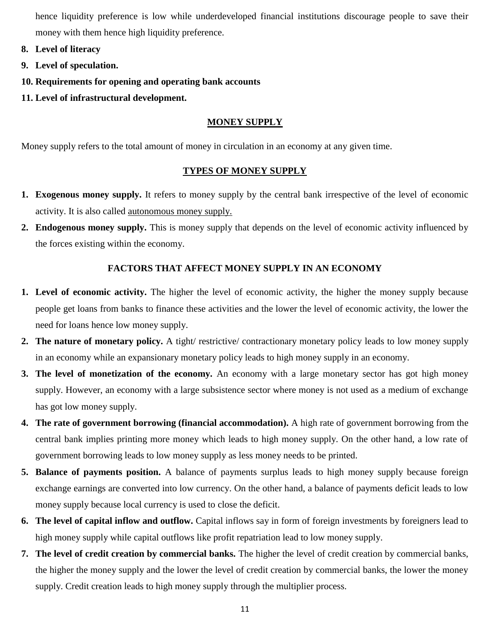hence liquidity preference is low while underdeveloped financial institutions discourage people to save their money with them hence high liquidity preference.

- **8. Level of literacy**
- **9. Level of speculation.**
- **10. Requirements for opening and operating bank accounts**
- **11. Level of infrastructural development.**

## **MONEY SUPPLY**

Money supply refers to the total amount of money in circulation in an economy at any given time.

## **TYPES OF MONEY SUPPLY**

- **1. Exogenous money supply.** It refers to money supply by the central bank irrespective of the level of economic activity. It is also called autonomous money supply.
- **2. Endogenous money supply.** This is money supply that depends on the level of economic activity influenced by the forces existing within the economy.

## **FACTORS THAT AFFECT MONEY SUPPLY IN AN ECONOMY**

- **1. Level of economic activity.** The higher the level of economic activity, the higher the money supply because people get loans from banks to finance these activities and the lower the level of economic activity, the lower the need for loans hence low money supply.
- **2. The nature of monetary policy.** A tight/ restrictive/ contractionary monetary policy leads to low money supply in an economy while an expansionary monetary policy leads to high money supply in an economy.
- **3. The level of monetization of the economy.** An economy with a large monetary sector has got high money supply. However, an economy with a large subsistence sector where money is not used as a medium of exchange has got low money supply.
- **4. The rate of government borrowing (financial accommodation).** A high rate of government borrowing from the central bank implies printing more money which leads to high money supply. On the other hand, a low rate of government borrowing leads to low money supply as less money needs to be printed.
- **5. Balance of payments position.** A balance of payments surplus leads to high money supply because foreign exchange earnings are converted into low currency. On the other hand, a balance of payments deficit leads to low money supply because local currency is used to close the deficit.
- **6. The level of capital inflow and outflow.** Capital inflows say in form of foreign investments by foreigners lead to high money supply while capital outflows like profit repatriation lead to low money supply.
- **7. The level of credit creation by commercial banks.** The higher the level of credit creation by commercial banks, the higher the money supply and the lower the level of credit creation by commercial banks, the lower the money supply. Credit creation leads to high money supply through the multiplier process.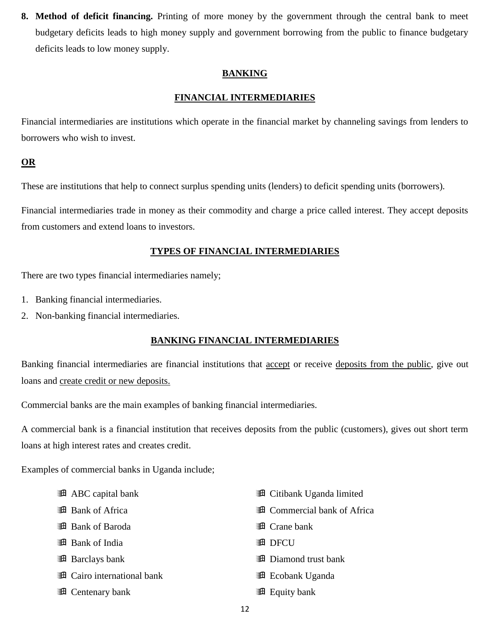**8. Method of deficit financing.** Printing of more money by the government through the central bank to meet budgetary deficits leads to high money supply and government borrowing from the public to finance budgetary deficits leads to low money supply.

## **BANKING**

## **FINANCIAL INTERMEDIARIES**

Financial intermediaries are institutions which operate in the financial market by channeling savings from lenders to borrowers who wish to invest.

## **OR**

These are institutions that help to connect surplus spending units (lenders) to deficit spending units (borrowers).

Financial intermediaries trade in money as their commodity and charge a price called interest. They accept deposits from customers and extend loans to investors.

## **TYPES OF FINANCIAL INTERMEDIARIES**

There are two types financial intermediaries namely;

- 1. Banking financial intermediaries.
- 2. Non-banking financial intermediaries.

## **BANKING FINANCIAL INTERMEDIARIES**

Banking financial intermediaries are financial institutions that accept or receive deposits from the public, give out loans and create credit or new deposits.

Commercial banks are the main examples of banking financial intermediaries.

A commercial bank is a financial institution that receives deposits from the public (customers), gives out short term loans at high interest rates and creates credit.

Examples of commercial banks in Uganda include;

- **ABC** capital bank **图 Bank of Africa Bank of Baroda B** Bank of India **B** Barclays bank **Example 21** Cairo international bank **Example 2** Centenary bank **Example 21 Citibank Uganda limited Example 21 Commercial bank of Africa Example 18** Crane bank **图 DFCU Diamond trust bank Exercise** Ecobank Uganda **图 Equity bank** 
	- 12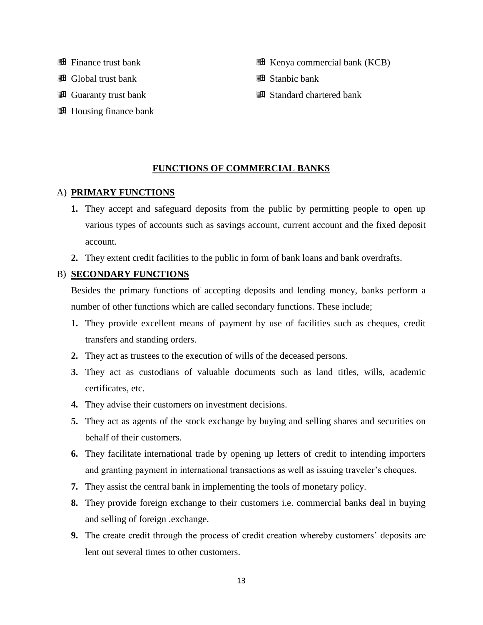- **Example 11** Finance trust bank
- **Example 3** Global trust bank
- **Example 3** Guaranty trust bank
- **H** Housing finance bank
- **Example 3** Kenya commercial bank (KCB)
- **B** Stanbic bank
- **B** Standard chartered bank

#### **FUNCTIONS OF COMMERCIAL BANKS**

#### A) **PRIMARY FUNCTIONS**

- **1.** They accept and safeguard deposits from the public by permitting people to open up various types of accounts such as savings account, current account and the fixed deposit account.
- **2.** They extent credit facilities to the public in form of bank loans and bank overdrafts.

## B) **SECONDARY FUNCTIONS**

Besides the primary functions of accepting deposits and lending money, banks perform a number of other functions which are called secondary functions. These include;

- **1.** They provide excellent means of payment by use of facilities such as cheques, credit transfers and standing orders.
- **2.** They act as trustees to the execution of wills of the deceased persons.
- **3.** They act as custodians of valuable documents such as land titles, wills, academic certificates, etc.
- **4.** They advise their customers on investment decisions.
- **5.** They act as agents of the stock exchange by buying and selling shares and securities on behalf of their customers.
- **6.** They facilitate international trade by opening up letters of credit to intending importers and granting payment in international transactions as well as issuing traveler's cheques.
- **7.** They assist the central bank in implementing the tools of monetary policy.
- **8.** They provide foreign exchange to their customers i.e. commercial banks deal in buying and selling of foreign .exchange.
- **9.** The create credit through the process of credit creation whereby customers' deposits are lent out several times to other customers.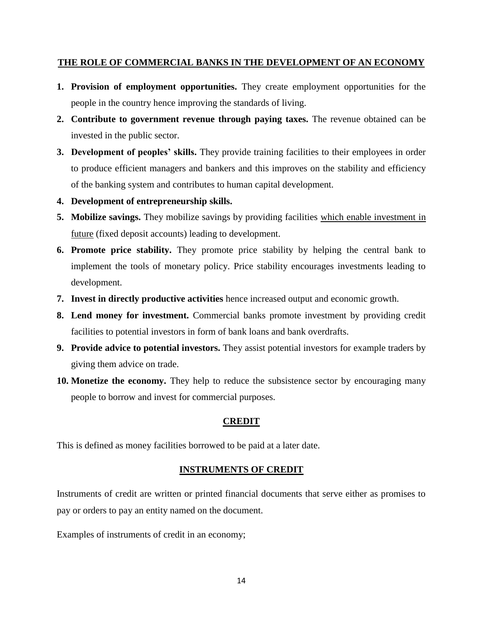## **THE ROLE OF COMMERCIAL BANKS IN THE DEVELOPMENT OF AN ECONOMY**

- **1. Provision of employment opportunities.** They create employment opportunities for the people in the country hence improving the standards of living.
- **2. Contribute to government revenue through paying taxes.** The revenue obtained can be invested in the public sector.
- **3. Development of peoples' skills.** They provide training facilities to their employees in order to produce efficient managers and bankers and this improves on the stability and efficiency of the banking system and contributes to human capital development.
- **4. Development of entrepreneurship skills.**
- **5. Mobilize savings.** They mobilize savings by providing facilities which enable investment in future (fixed deposit accounts) leading to development.
- **6. Promote price stability.** They promote price stability by helping the central bank to implement the tools of monetary policy. Price stability encourages investments leading to development.
- **7. Invest in directly productive activities** hence increased output and economic growth.
- **8. Lend money for investment.** Commercial banks promote investment by providing credit facilities to potential investors in form of bank loans and bank overdrafts.
- **9. Provide advice to potential investors.** They assist potential investors for example traders by giving them advice on trade.
- **10. Monetize the economy.** They help to reduce the subsistence sector by encouraging many people to borrow and invest for commercial purposes.

## **CREDIT**

This is defined as money facilities borrowed to be paid at a later date.

## **INSTRUMENTS OF CREDIT**

Instruments of credit are written or printed financial documents that serve either as promises to pay or orders to pay an entity named on the document.

Examples of instruments of credit in an economy;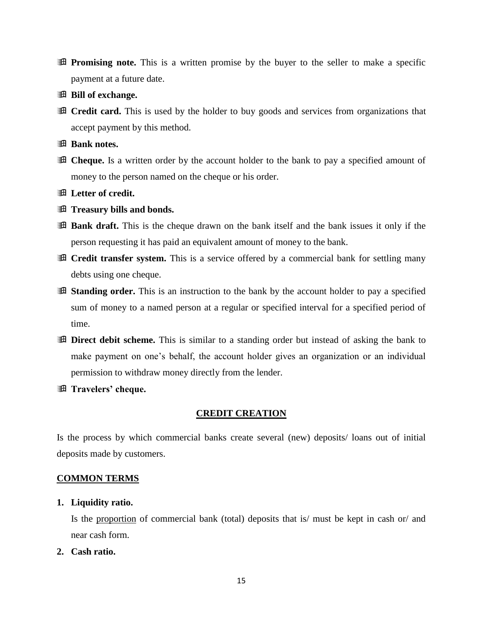- **Promising note.** This is a written promise by the buyer to the seller to make a specific payment at a future date.
- **Bill of exchange.**
- **Executed Credit card.** This is used by the holder to buy goods and services from organizations that accept payment by this method.
- **Bank notes.**
- **Example 1** Cheque. Is a written order by the account holder to the bank to pay a specified amount of money to the person named on the cheque or his order.
- **Letter of credit.**
- *A* Treasury bills and bonds.
- **Bank draft.** This is the cheque drawn on the bank itself and the bank issues it only if the person requesting it has paid an equivalent amount of money to the bank.
- **Executively transfer system.** This is a service offered by a commercial bank for settling many debts using one cheque.
- **Example 3** Standing order. This is an instruction to the bank by the account holder to pay a specified sum of money to a named person at a regular or specified interval for a specified period of time.
- **Example 1** Direct debit scheme. This is similar to a standing order but instead of asking the bank to make payment on one's behalf, the account holder gives an organization or an individual permission to withdraw money directly from the lender.
- **Travelers' cheque.**

#### **CREDIT CREATION**

Is the process by which commercial banks create several (new) deposits/ loans out of initial deposits made by customers.

## **COMMON TERMS**

**1. Liquidity ratio.**

Is the proportion of commercial bank (total) deposits that is/ must be kept in cash or/ and near cash form.

**2. Cash ratio.**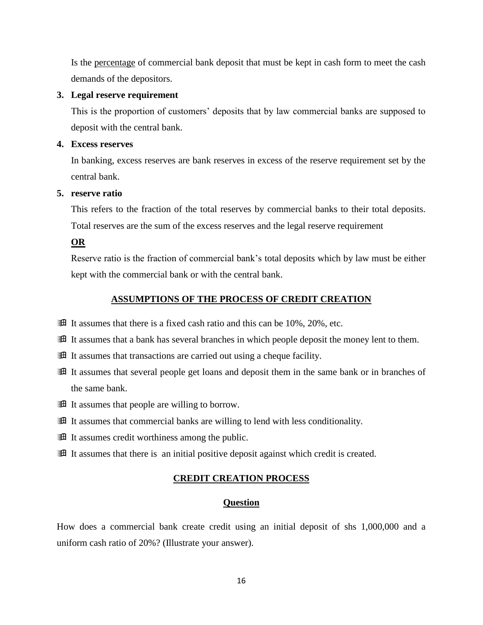Is the percentage of commercial bank deposit that must be kept in cash form to meet the cash demands of the depositors.

#### **3. Legal reserve requirement**

This is the proportion of customers' deposits that by law commercial banks are supposed to deposit with the central bank.

#### **4. Excess reserves**

In banking, excess reserves are bank reserves in excess of the reserve requirement set by the central bank.

#### **5. reserve ratio**

This refers to the fraction of the total reserves by commercial banks to their total deposits. Total reserves are the sum of the excess reserves and the legal reserve requirement

**OR**

Reserve ratio is the fraction of commercial bank's total deposits which by law must be either kept with the commercial bank or with the central bank.

## **ASSUMPTIONS OF THE PROCESS OF CREDIT CREATION**

- $\mathbb{H}$  It assumes that there is a fixed cash ratio and this can be 10%, 20%, etc.
- **If it assumes that a bank has several branches in which people deposit the money lent to them.**
- **If** It assumes that transactions are carried out using a cheque facility.
- **Example 1** It assumes that several people get loans and deposit them in the same bank or in branches of the same bank.
- If It assumes that people are willing to borrow.
- It assumes that commercial banks are willing to lend with less conditionality.
- **If** It assumes credit worthiness among the public.
- **If it assumes that there is an initial positive deposition against which credit is created.**

## **CREDIT CREATION PROCESS**

## **Question**

How does a commercial bank create credit using an initial deposit of shs 1,000,000 and a uniform cash ratio of 20%? (Illustrate your answer).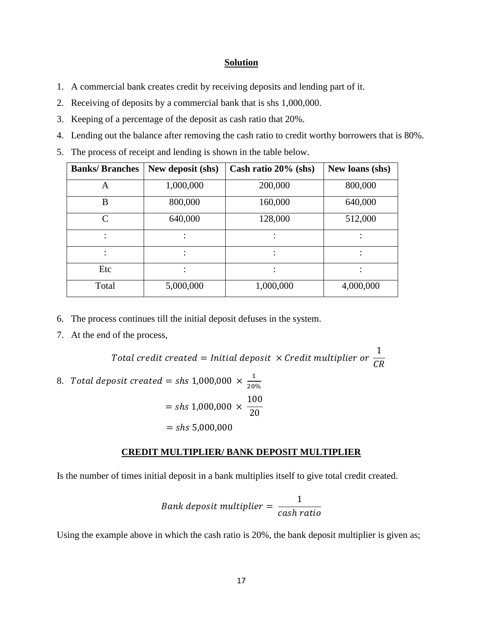#### **Solution**

- 1. A commercial bank creates credit by receiving deposits and lending part of it.
- 2. Receiving of deposits by a commercial bank that is shs 1,000,000.
- 3. Keeping of a percentage of the deposit as cash ratio that 20%.
- 4. Lending out the balance after removing the cash ratio to credit worthy borrowers that is 80%.
- 5. The process of receipt and lending is shown in the table below.

| <b>Banks/Branches</b> | New deposit (shs) | Cash ratio 20% (shs) | New loans (shs) |
|-----------------------|-------------------|----------------------|-----------------|
| A                     | 1,000,000         | 200,000              | 800,000         |
| B                     | 800,000           | 160,000              | 640,000         |
| $\mathsf{C}$          | 640,000           | 128,000              | 512,000         |
|                       |                   |                      |                 |
|                       | $\bullet$         |                      |                 |
| Etc                   |                   |                      |                 |
| Total                 | 5,000,000         | 1,000,000            | 4,000,000       |

- 6. The process continues till the initial deposit defuses in the system.
- 7. At the end of the process,

Total credit created = Initial deposit  $\, \times$  Credit multiplier or 1  $CR$ 8. Total deposit created = shs 1,000,000  $\times$   $\frac{1}{20}$ 20%  $=$  shs 1,000,000  $\times$ 100 20  $=$  shs 5,000,000

#### **CREDIT MULTIPLIER/ BANK DEPOSIT MULTIPLIER**

Is the number of times initial deposit in a bank multiplies itself to give total credit created.

Bank deposit multiplier = 
$$
\frac{1}{cash ratio}
$$

Using the example above in which the cash ratio is 20%, the bank deposit multiplier is given as;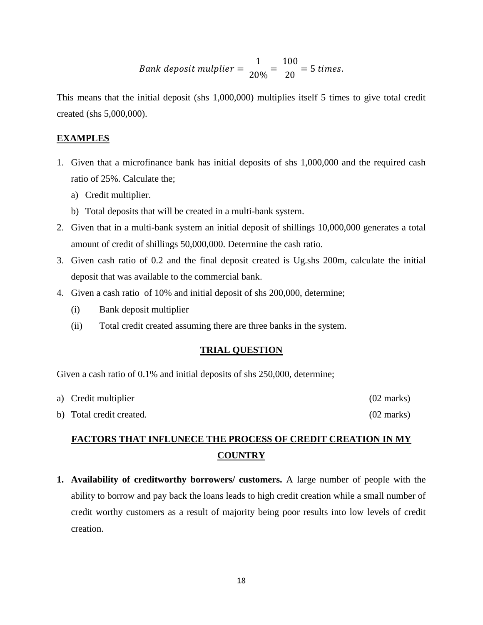*Bank deposit multiplier* = 
$$
\frac{1}{20\%}
$$
 =  $\frac{100}{20}$  = 5 times.

This means that the initial deposit (shs 1,000,000) multiplies itself 5 times to give total credit created (shs 5,000,000).

### **EXAMPLES**

- 1. Given that a microfinance bank has initial deposits of shs 1,000,000 and the required cash ratio of 25%. Calculate the;
	- a) Credit multiplier.
	- b) Total deposits that will be created in a multi-bank system.
- 2. Given that in a multi-bank system an initial deposit of shillings 10,000,000 generates a total amount of credit of shillings 50,000,000. Determine the cash ratio.
- 3. Given cash ratio of 0.2 and the final deposit created is Ug.shs 200m, calculate the initial deposit that was available to the commercial bank.
- 4. Given a cash ratio of 10% and initial deposit of shs 200,000, determine;
	- (i) Bank deposit multiplier
	- (ii) Total credit created assuming there are three banks in the system.

#### **TRIAL QUESTION**

Given a cash ratio of 0.1% and initial deposits of shs 250,000, determine;

| a) Credit multiplier     | $(02 \text{ marks})$ |
|--------------------------|----------------------|
| b) Total credit created. | $(02 \text{ marks})$ |

## **FACTORS THAT INFLUNECE THE PROCESS OF CREDIT CREATION IN MY COUNTRY**

**1. Availability of creditworthy borrowers/ customers.** A large number of people with the ability to borrow and pay back the loans leads to high credit creation while a small number of credit worthy customers as a result of majority being poor results into low levels of credit creation.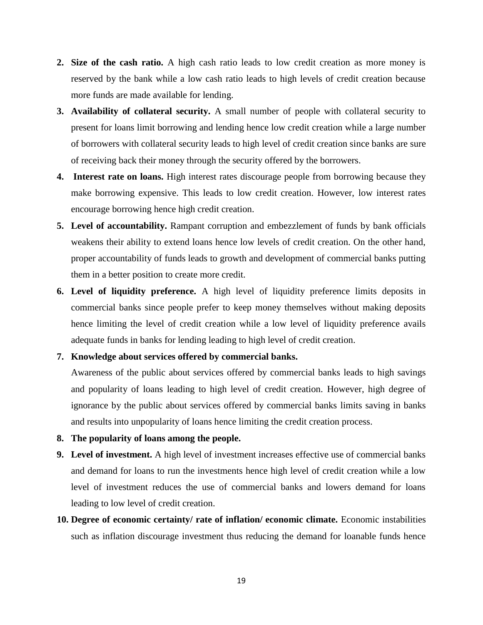- **2. Size of the cash ratio.** A high cash ratio leads to low credit creation as more money is reserved by the bank while a low cash ratio leads to high levels of credit creation because more funds are made available for lending.
- **3. Availability of collateral security.** A small number of people with collateral security to present for loans limit borrowing and lending hence low credit creation while a large number of borrowers with collateral security leads to high level of credit creation since banks are sure of receiving back their money through the security offered by the borrowers.
- **4. Interest rate on loans.** High interest rates discourage people from borrowing because they make borrowing expensive. This leads to low credit creation. However, low interest rates encourage borrowing hence high credit creation.
- **5. Level of accountability.** Rampant corruption and embezzlement of funds by bank officials weakens their ability to extend loans hence low levels of credit creation. On the other hand, proper accountability of funds leads to growth and development of commercial banks putting them in a better position to create more credit.
- **6. Level of liquidity preference.** A high level of liquidity preference limits deposits in commercial banks since people prefer to keep money themselves without making deposits hence limiting the level of credit creation while a low level of liquidity preference avails adequate funds in banks for lending leading to high level of credit creation.

#### **7. Knowledge about services offered by commercial banks.**

Awareness of the public about services offered by commercial banks leads to high savings and popularity of loans leading to high level of credit creation. However, high degree of ignorance by the public about services offered by commercial banks limits saving in banks and results into unpopularity of loans hence limiting the credit creation process.

- **8. The popularity of loans among the people.**
- **9. Level of investment.** A high level of investment increases effective use of commercial banks and demand for loans to run the investments hence high level of credit creation while a low level of investment reduces the use of commercial banks and lowers demand for loans leading to low level of credit creation.
- **10. Degree of economic certainty/ rate of inflation/ economic climate.** Economic instabilities such as inflation discourage investment thus reducing the demand for loanable funds hence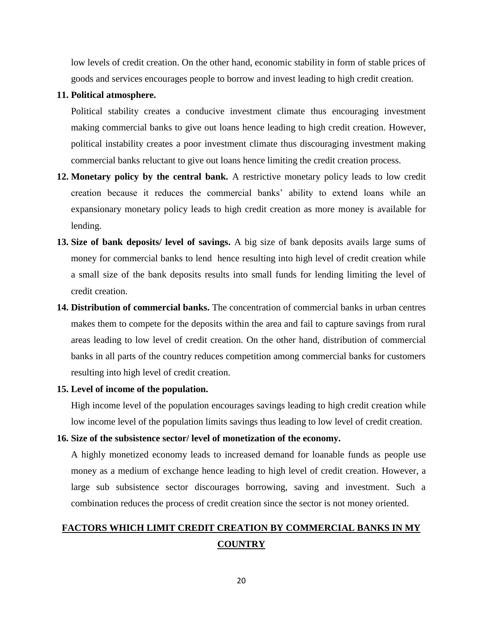low levels of credit creation. On the other hand, economic stability in form of stable prices of goods and services encourages people to borrow and invest leading to high credit creation.

#### **11. Political atmosphere.**

Political stability creates a conducive investment climate thus encouraging investment making commercial banks to give out loans hence leading to high credit creation. However, political instability creates a poor investment climate thus discouraging investment making commercial banks reluctant to give out loans hence limiting the credit creation process.

- **12. Monetary policy by the central bank.** A restrictive monetary policy leads to low credit creation because it reduces the commercial banks' ability to extend loans while an expansionary monetary policy leads to high credit creation as more money is available for lending.
- **13. Size of bank deposits/ level of savings.** A big size of bank deposits avails large sums of money for commercial banks to lend hence resulting into high level of credit creation while a small size of the bank deposits results into small funds for lending limiting the level of credit creation.
- **14. Distribution of commercial banks.** The concentration of commercial banks in urban centres makes them to compete for the deposits within the area and fail to capture savings from rural areas leading to low level of credit creation. On the other hand, distribution of commercial banks in all parts of the country reduces competition among commercial banks for customers resulting into high level of credit creation.

#### **15. Level of income of the population.**

High income level of the population encourages savings leading to high credit creation while low income level of the population limits savings thus leading to low level of credit creation.

## **16. Size of the subsistence sector/ level of monetization of the economy.**

A highly monetized economy leads to increased demand for loanable funds as people use money as a medium of exchange hence leading to high level of credit creation. However, a large sub subsistence sector discourages borrowing, saving and investment. Such a combination reduces the process of credit creation since the sector is not money oriented.

## **FACTORS WHICH LIMIT CREDIT CREATION BY COMMERCIAL BANKS IN MY COUNTRY**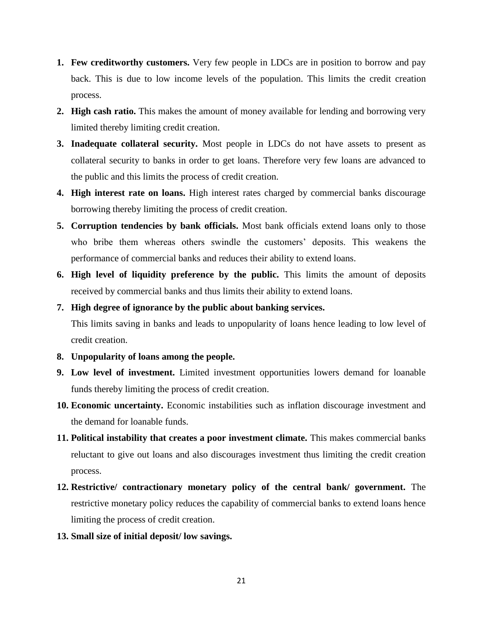- **1. Few creditworthy customers.** Very few people in LDCs are in position to borrow and pay back. This is due to low income levels of the population. This limits the credit creation process.
- **2. High cash ratio.** This makes the amount of money available for lending and borrowing very limited thereby limiting credit creation.
- **3. Inadequate collateral security.** Most people in LDCs do not have assets to present as collateral security to banks in order to get loans. Therefore very few loans are advanced to the public and this limits the process of credit creation.
- **4. High interest rate on loans.** High interest rates charged by commercial banks discourage borrowing thereby limiting the process of credit creation.
- **5. Corruption tendencies by bank officials.** Most bank officials extend loans only to those who bribe them whereas others swindle the customers' deposits. This weakens the performance of commercial banks and reduces their ability to extend loans.
- **6. High level of liquidity preference by the public.** This limits the amount of deposits received by commercial banks and thus limits their ability to extend loans.
- **7. High degree of ignorance by the public about banking services.**

This limits saving in banks and leads to unpopularity of loans hence leading to low level of credit creation.

- **8. Unpopularity of loans among the people.**
- **9. Low level of investment.** Limited investment opportunities lowers demand for loanable funds thereby limiting the process of credit creation.
- **10. Economic uncertainty.** Economic instabilities such as inflation discourage investment and the demand for loanable funds.
- **11. Political instability that creates a poor investment climate.** This makes commercial banks reluctant to give out loans and also discourages investment thus limiting the credit creation process.
- **12. Restrictive/ contractionary monetary policy of the central bank/ government.** The restrictive monetary policy reduces the capability of commercial banks to extend loans hence limiting the process of credit creation.
- **13. Small size of initial deposit/ low savings.**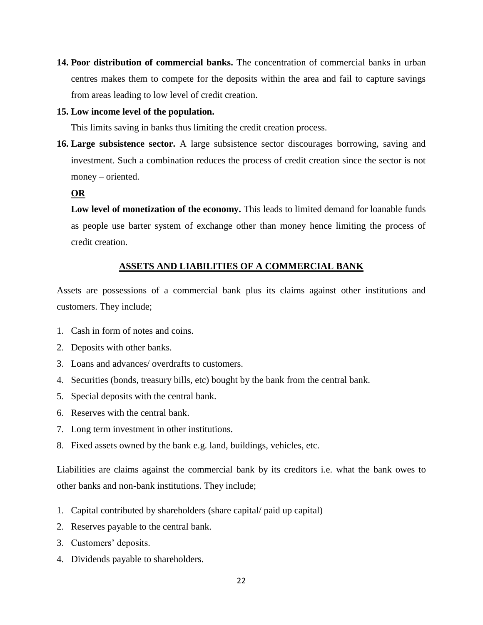**14. Poor distribution of commercial banks.** The concentration of commercial banks in urban centres makes them to compete for the deposits within the area and fail to capture savings from areas leading to low level of credit creation.

#### **15. Low income level of the population.**

This limits saving in banks thus limiting the credit creation process.

**16. Large subsistence sector.** A large subsistence sector discourages borrowing, saving and investment. Such a combination reduces the process of credit creation since the sector is not money – oriented.

#### **OR**

Low level of monetization of the economy. This leads to limited demand for loanable funds as people use barter system of exchange other than money hence limiting the process of credit creation.

## **ASSETS AND LIABILITIES OF A COMMERCIAL BANK**

Assets are possessions of a commercial bank plus its claims against other institutions and customers. They include;

- 1. Cash in form of notes and coins.
- 2. Deposits with other banks.
- 3. Loans and advances/ overdrafts to customers.
- 4. Securities (bonds, treasury bills, etc) bought by the bank from the central bank.
- 5. Special deposits with the central bank.
- 6. Reserves with the central bank.
- 7. Long term investment in other institutions.
- 8. Fixed assets owned by the bank e.g. land, buildings, vehicles, etc.

Liabilities are claims against the commercial bank by its creditors i.e. what the bank owes to other banks and non-bank institutions. They include;

- 1. Capital contributed by shareholders (share capital/ paid up capital)
- 2. Reserves payable to the central bank.
- 3. Customers' deposits.
- 4. Dividends payable to shareholders.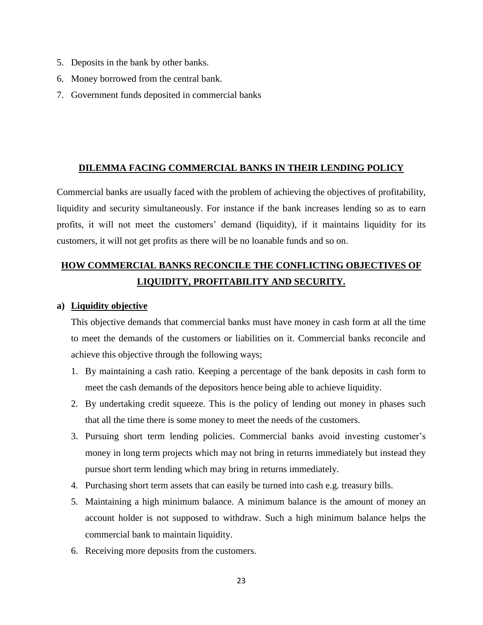- 5. Deposits in the bank by other banks.
- 6. Money borrowed from the central bank.
- 7. Government funds deposited in commercial banks

#### **DILEMMA FACING COMMERCIAL BANKS IN THEIR LENDING POLICY**

Commercial banks are usually faced with the problem of achieving the objectives of profitability, liquidity and security simultaneously. For instance if the bank increases lending so as to earn profits, it will not meet the customers' demand (liquidity), if it maintains liquidity for its customers, it will not get profits as there will be no loanable funds and so on.

## **HOW COMMERCIAL BANKS RECONCILE THE CONFLICTING OBJECTIVES OF LIQUIDITY, PROFITABILITY AND SECURITY.**

#### **a) Liquidity objective**

This objective demands that commercial banks must have money in cash form at all the time to meet the demands of the customers or liabilities on it. Commercial banks reconcile and achieve this objective through the following ways;

- 1. By maintaining a cash ratio. Keeping a percentage of the bank deposits in cash form to meet the cash demands of the depositors hence being able to achieve liquidity.
- 2. By undertaking credit squeeze. This is the policy of lending out money in phases such that all the time there is some money to meet the needs of the customers.
- 3. Pursuing short term lending policies. Commercial banks avoid investing customer's money in long term projects which may not bring in returns immediately but instead they pursue short term lending which may bring in returns immediately.
- 4. Purchasing short term assets that can easily be turned into cash e.g. treasury bills.
- 5. Maintaining a high minimum balance. A minimum balance is the amount of money an account holder is not supposed to withdraw. Such a high minimum balance helps the commercial bank to maintain liquidity.
- 6. Receiving more deposits from the customers.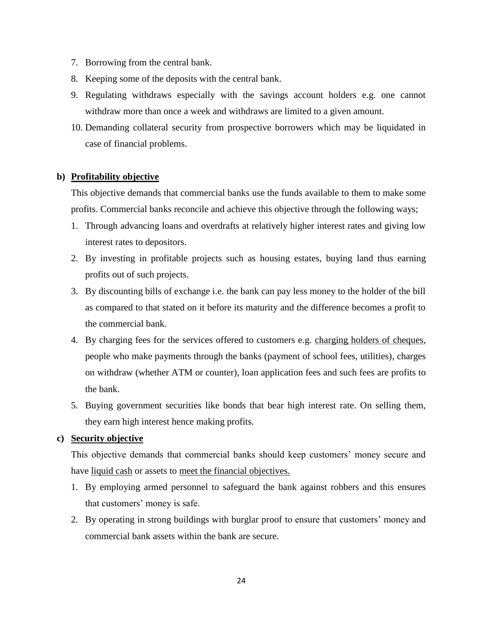- 7. Borrowing from the central bank.
- 8. Keeping some of the deposits with the central bank.
- 9. Regulating withdraws especially with the savings account holders e.g. one cannot withdraw more than once a week and withdraws are limited to a given amount.
- 10. Demanding collateral security from prospective borrowers which may be liquidated in case of financial problems.

## **b) Profitability objective**

This objective demands that commercial banks use the funds available to them to make some profits. Commercial banks reconcile and achieve this objective through the following ways;

- 1. Through advancing loans and overdrafts at relatively higher interest rates and giving low interest rates to depositors.
- 2. By investing in profitable projects such as housing estates, buying land thus earning profits out of such projects.
- 3. By discounting bills of exchange i.e. the bank can pay less money to the holder of the bill as compared to that stated on it before its maturity and the difference becomes a profit to the commercial bank.
- 4. By charging fees for the services offered to customers e.g. charging holders of cheques, people who make payments through the banks (payment of school fees, utilities), charges on withdraw (whether ATM or counter), loan application fees and such fees are profits to the bank.
- 5. Buying government securities like bonds that bear high interest rate. On selling them, they earn high interest hence making profits.

## **c) Security objective**

This objective demands that commercial banks should keep customers' money secure and have liquid cash or assets to meet the financial objectives.

- 1. By employing armed personnel to safeguard the bank against robbers and this ensures that customers' money is safe.
- 2. By operating in strong buildings with burglar proof to ensure that customers' money and commercial bank assets within the bank are secure.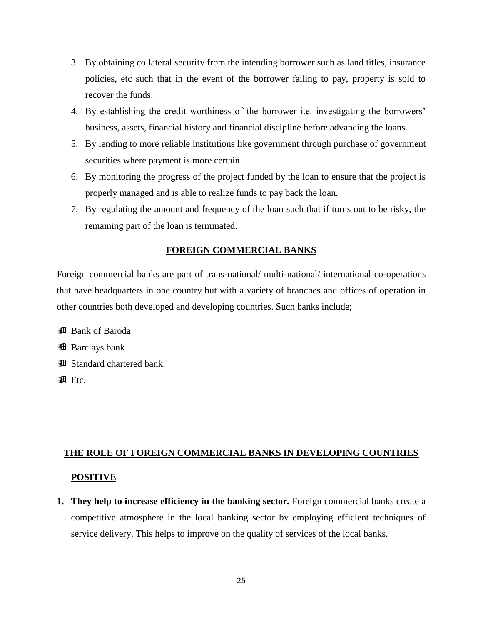- 3. By obtaining collateral security from the intending borrower such as land titles, insurance policies, etc such that in the event of the borrower failing to pay, property is sold to recover the funds.
- 4. By establishing the credit worthiness of the borrower i.e. investigating the borrowers' business, assets, financial history and financial discipline before advancing the loans.
- 5. By lending to more reliable institutions like government through purchase of government securities where payment is more certain
- 6. By monitoring the progress of the project funded by the loan to ensure that the project is properly managed and is able to realize funds to pay back the loan.
- 7. By regulating the amount and frequency of the loan such that if turns out to be risky, the remaining part of the loan is terminated.

## **FOREIGN COMMERCIAL BANKS**

Foreign commercial banks are part of trans-national/ multi-national/ international co-operations that have headquarters in one country but with a variety of branches and offices of operation in other countries both developed and developing countries. Such banks include;

- **B** Bank of Baroda
- **B** Barclays bank
- Standard chartered bank.
- $\mathbf{H}$  Etc.

## **THE ROLE OF FOREIGN COMMERCIAL BANKS IN DEVELOPING COUNTRIES POSITIVE**

**1. They help to increase efficiency in the banking sector.** Foreign commercial banks create a competitive atmosphere in the local banking sector by employing efficient techniques of service delivery. This helps to improve on the quality of services of the local banks.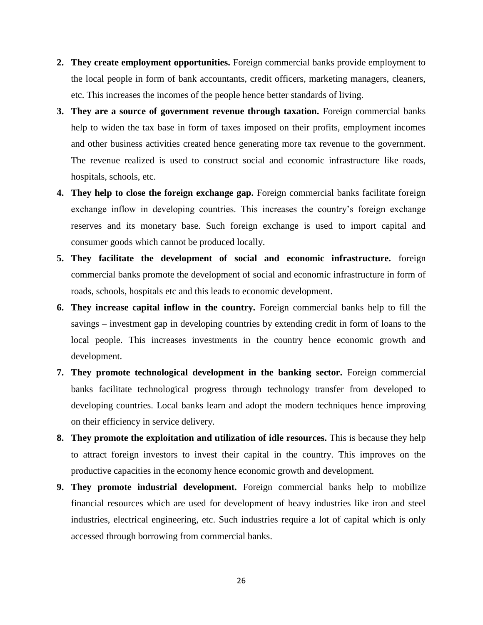- **2. They create employment opportunities.** Foreign commercial banks provide employment to the local people in form of bank accountants, credit officers, marketing managers, cleaners, etc. This increases the incomes of the people hence better standards of living.
- **3. They are a source of government revenue through taxation.** Foreign commercial banks help to widen the tax base in form of taxes imposed on their profits, employment incomes and other business activities created hence generating more tax revenue to the government. The revenue realized is used to construct social and economic infrastructure like roads, hospitals, schools, etc.
- **4. They help to close the foreign exchange gap.** Foreign commercial banks facilitate foreign exchange inflow in developing countries. This increases the country's foreign exchange reserves and its monetary base. Such foreign exchange is used to import capital and consumer goods which cannot be produced locally.
- **5. They facilitate the development of social and economic infrastructure.** foreign commercial banks promote the development of social and economic infrastructure in form of roads, schools, hospitals etc and this leads to economic development.
- **6. They increase capital inflow in the country.** Foreign commercial banks help to fill the savings – investment gap in developing countries by extending credit in form of loans to the local people. This increases investments in the country hence economic growth and development.
- **7. They promote technological development in the banking sector.** Foreign commercial banks facilitate technological progress through technology transfer from developed to developing countries. Local banks learn and adopt the modern techniques hence improving on their efficiency in service delivery.
- **8. They promote the exploitation and utilization of idle resources.** This is because they help to attract foreign investors to invest their capital in the country. This improves on the productive capacities in the economy hence economic growth and development.
- **9. They promote industrial development.** Foreign commercial banks help to mobilize financial resources which are used for development of heavy industries like iron and steel industries, electrical engineering, etc. Such industries require a lot of capital which is only accessed through borrowing from commercial banks.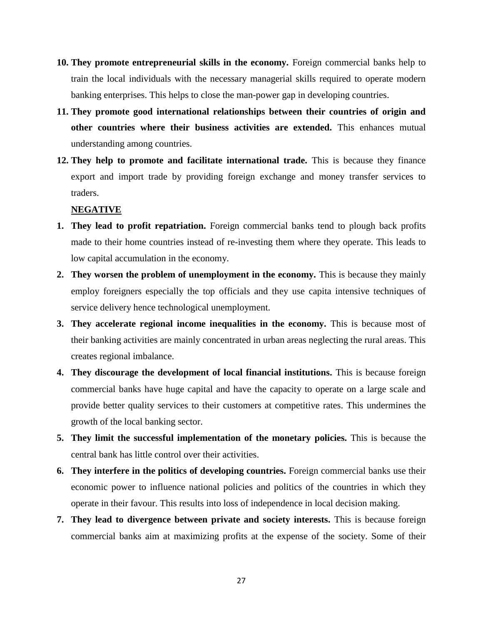- **10. They promote entrepreneurial skills in the economy.** Foreign commercial banks help to train the local individuals with the necessary managerial skills required to operate modern banking enterprises. This helps to close the man-power gap in developing countries.
- **11. They promote good international relationships between their countries of origin and other countries where their business activities are extended.** This enhances mutual understanding among countries.
- **12. They help to promote and facilitate international trade.** This is because they finance export and import trade by providing foreign exchange and money transfer services to traders.

#### **NEGATIVE**

- **1. They lead to profit repatriation.** Foreign commercial banks tend to plough back profits made to their home countries instead of re-investing them where they operate. This leads to low capital accumulation in the economy.
- **2. They worsen the problem of unemployment in the economy.** This is because they mainly employ foreigners especially the top officials and they use capita intensive techniques of service delivery hence technological unemployment.
- **3. They accelerate regional income inequalities in the economy.** This is because most of their banking activities are mainly concentrated in urban areas neglecting the rural areas. This creates regional imbalance.
- **4. They discourage the development of local financial institutions.** This is because foreign commercial banks have huge capital and have the capacity to operate on a large scale and provide better quality services to their customers at competitive rates. This undermines the growth of the local banking sector.
- **5. They limit the successful implementation of the monetary policies.** This is because the central bank has little control over their activities.
- **6. They interfere in the politics of developing countries.** Foreign commercial banks use their economic power to influence national policies and politics of the countries in which they operate in their favour. This results into loss of independence in local decision making.
- **7. They lead to divergence between private and society interests.** This is because foreign commercial banks aim at maximizing profits at the expense of the society. Some of their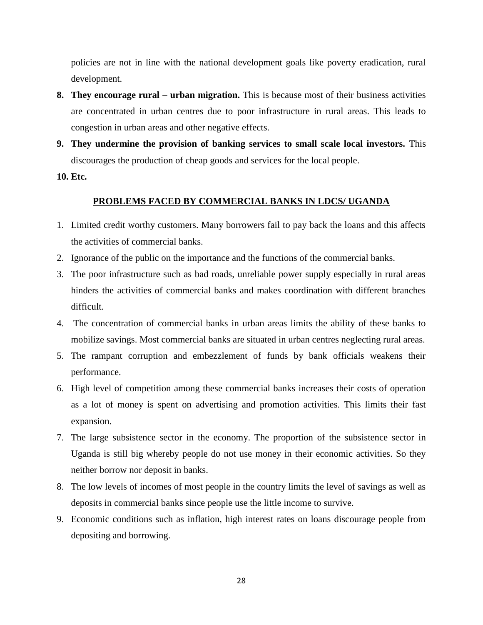policies are not in line with the national development goals like poverty eradication, rural development.

- **8. They encourage rural – urban migration.** This is because most of their business activities are concentrated in urban centres due to poor infrastructure in rural areas. This leads to congestion in urban areas and other negative effects.
- **9. They undermine the provision of banking services to small scale local investors.** This discourages the production of cheap goods and services for the local people.
- **10. Etc.**

## **PROBLEMS FACED BY COMMERCIAL BANKS IN LDCS/ UGANDA**

- 1. Limited credit worthy customers. Many borrowers fail to pay back the loans and this affects the activities of commercial banks.
- 2. Ignorance of the public on the importance and the functions of the commercial banks.
- 3. The poor infrastructure such as bad roads, unreliable power supply especially in rural areas hinders the activities of commercial banks and makes coordination with different branches difficult.
- 4. The concentration of commercial banks in urban areas limits the ability of these banks to mobilize savings. Most commercial banks are situated in urban centres neglecting rural areas.
- 5. The rampant corruption and embezzlement of funds by bank officials weakens their performance.
- 6. High level of competition among these commercial banks increases their costs of operation as a lot of money is spent on advertising and promotion activities. This limits their fast expansion.
- 7. The large subsistence sector in the economy. The proportion of the subsistence sector in Uganda is still big whereby people do not use money in their economic activities. So they neither borrow nor deposit in banks.
- 8. The low levels of incomes of most people in the country limits the level of savings as well as deposits in commercial banks since people use the little income to survive.
- 9. Economic conditions such as inflation, high interest rates on loans discourage people from depositing and borrowing.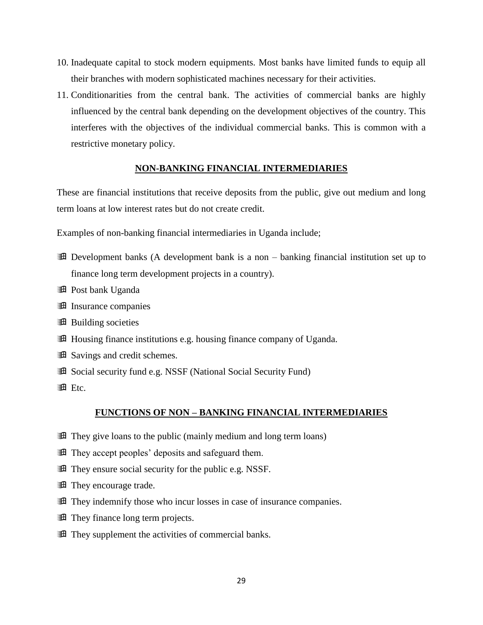- 10. Inadequate capital to stock modern equipments. Most banks have limited funds to equip all their branches with modern sophisticated machines necessary for their activities.
- 11. Conditionarities from the central bank. The activities of commercial banks are highly influenced by the central bank depending on the development objectives of the country. This interferes with the objectives of the individual commercial banks. This is common with a restrictive monetary policy.

#### **NON-BANKING FINANCIAL INTERMEDIARIES**

These are financial institutions that receive deposits from the public, give out medium and long term loans at low interest rates but do not create credit.

Examples of non-banking financial intermediaries in Uganda include;

- **Example 1** Development banks (A development bank is a non banking financial institution set up to finance long term development projects in a country).
- **Post bank Uganda**
- **Insurance companies**
- **Building societies**
- Housing finance institutions e.g. housing finance company of Uganda.
- **B** Savings and credit schemes.
- **Example 3** Social security fund e.g. NSSF (National Social Security Fund)
- **A** Etc.

#### **FUNCTIONS OF NON – BANKING FINANCIAL INTERMEDIARIES**

- **They give loans to the public (mainly medium and long term loans)**
- They accept peoples' deposits and safeguard them.
- They ensure social security for the public e.g. NSSF.
- **They encourage trade.**
- **They indemnify those who incur losses in case of insurance companies.**
- **They finance long term projects.**
- They supplement the activities of commercial banks.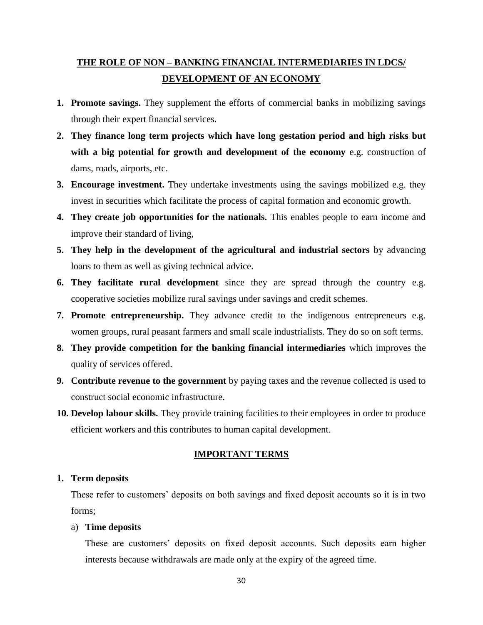## **THE ROLE OF NON – BANKING FINANCIAL INTERMEDIARIES IN LDCS/ DEVELOPMENT OF AN ECONOMY**

- **1. Promote savings.** They supplement the efforts of commercial banks in mobilizing savings through their expert financial services.
- **2. They finance long term projects which have long gestation period and high risks but with a big potential for growth and development of the economy** e.g. construction of dams, roads, airports, etc.
- **3. Encourage investment.** They undertake investments using the savings mobilized e.g. they invest in securities which facilitate the process of capital formation and economic growth.
- **4. They create job opportunities for the nationals.** This enables people to earn income and improve their standard of living,
- **5. They help in the development of the agricultural and industrial sectors** by advancing loans to them as well as giving technical advice.
- **6. They facilitate rural development** since they are spread through the country e.g. cooperative societies mobilize rural savings under savings and credit schemes.
- **7. Promote entrepreneurship.** They advance credit to the indigenous entrepreneurs e.g. women groups, rural peasant farmers and small scale industrialists. They do so on soft terms.
- **8. They provide competition for the banking financial intermediaries** which improves the quality of services offered.
- **9. Contribute revenue to the government** by paying taxes and the revenue collected is used to construct social economic infrastructure.
- **10. Develop labour skills.** They provide training facilities to their employees in order to produce efficient workers and this contributes to human capital development.

## **IMPORTANT TERMS**

## **1. Term deposits**

These refer to customers' deposits on both savings and fixed deposit accounts so it is in two forms;

## a) **Time deposits**

These are customers' deposits on fixed deposit accounts. Such deposits earn higher interests because withdrawals are made only at the expiry of the agreed time.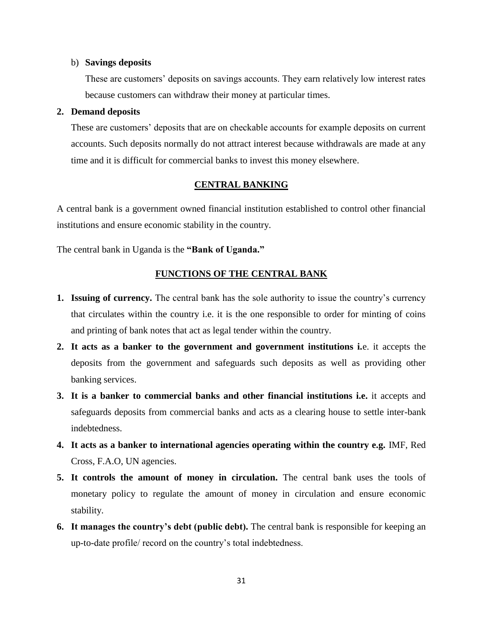#### b) **Savings deposits**

These are customers' deposits on savings accounts. They earn relatively low interest rates because customers can withdraw their money at particular times.

#### **2. Demand deposits**

These are customers' deposits that are on checkable accounts for example deposits on current accounts. Such deposits normally do not attract interest because withdrawals are made at any time and it is difficult for commercial banks to invest this money elsewhere.

### **CENTRAL BANKING**

A central bank is a government owned financial institution established to control other financial institutions and ensure economic stability in the country.

The central bank in Uganda is the **"Bank of Uganda."**

## **FUNCTIONS OF THE CENTRAL BANK**

- **1. Issuing of currency.** The central bank has the sole authority to issue the country's currency that circulates within the country i.e. it is the one responsible to order for minting of coins and printing of bank notes that act as legal tender within the country.
- **2. It acts as a banker to the government and government institutions i.**e. it accepts the deposits from the government and safeguards such deposits as well as providing other banking services.
- **3. It is a banker to commercial banks and other financial institutions i.e.** it accepts and safeguards deposits from commercial banks and acts as a clearing house to settle inter-bank indebtedness.
- **4. It acts as a banker to international agencies operating within the country e.g.** IMF, Red Cross, F.A.O, UN agencies.
- **5. It controls the amount of money in circulation.** The central bank uses the tools of monetary policy to regulate the amount of money in circulation and ensure economic stability.
- **6. It manages the country's debt (public debt).** The central bank is responsible for keeping an up-to-date profile/ record on the country's total indebtedness.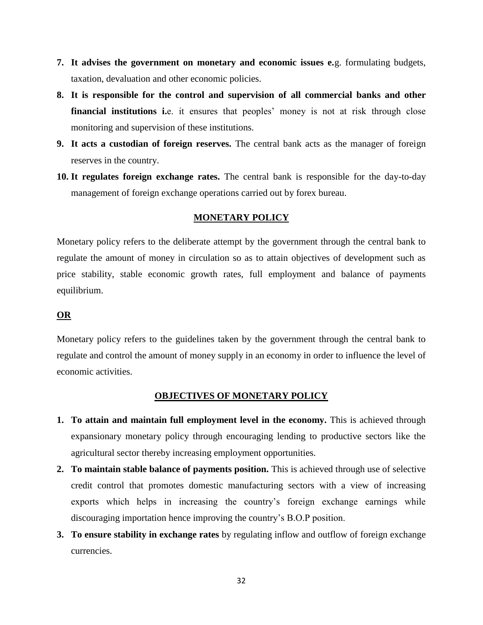- **7. It advises the government on monetary and economic issues e.**g. formulating budgets, taxation, devaluation and other economic policies.
- **8. It is responsible for the control and supervision of all commercial banks and other**  financial institutions i.e. it ensures that peoples' money is not at risk through close monitoring and supervision of these institutions.
- **9. It acts a custodian of foreign reserves.** The central bank acts as the manager of foreign reserves in the country.
- **10. It regulates foreign exchange rates.** The central bank is responsible for the day-to-day management of foreign exchange operations carried out by forex bureau.

## **MONETARY POLICY**

Monetary policy refers to the deliberate attempt by the government through the central bank to regulate the amount of money in circulation so as to attain objectives of development such as price stability, stable economic growth rates, full employment and balance of payments equilibrium.

## **OR**

Monetary policy refers to the guidelines taken by the government through the central bank to regulate and control the amount of money supply in an economy in order to influence the level of economic activities.

## **OBJECTIVES OF MONETARY POLICY**

- **1. To attain and maintain full employment level in the economy.** This is achieved through expansionary monetary policy through encouraging lending to productive sectors like the agricultural sector thereby increasing employment opportunities.
- **2. To maintain stable balance of payments position.** This is achieved through use of selective credit control that promotes domestic manufacturing sectors with a view of increasing exports which helps in increasing the country's foreign exchange earnings while discouraging importation hence improving the country's B.O.P position.
- **3. To ensure stability in exchange rates** by regulating inflow and outflow of foreign exchange currencies.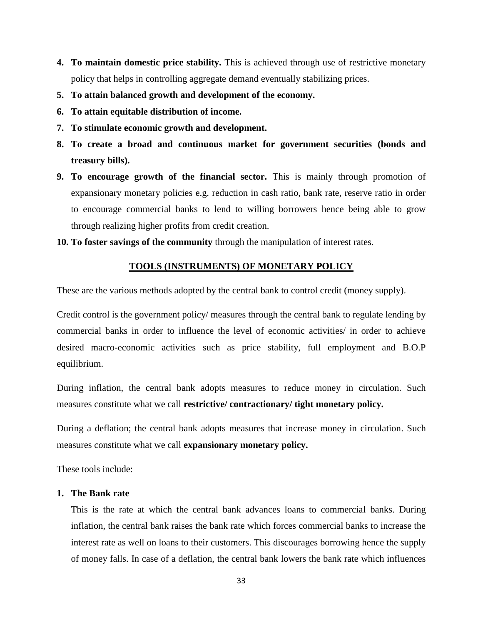- **4. To maintain domestic price stability.** This is achieved through use of restrictive monetary policy that helps in controlling aggregate demand eventually stabilizing prices.
- **5. To attain balanced growth and development of the economy.**
- **6. To attain equitable distribution of income.**
- **7. To stimulate economic growth and development.**
- **8. To create a broad and continuous market for government securities (bonds and treasury bills).**
- **9. To encourage growth of the financial sector.** This is mainly through promotion of expansionary monetary policies e.g. reduction in cash ratio, bank rate, reserve ratio in order to encourage commercial banks to lend to willing borrowers hence being able to grow through realizing higher profits from credit creation.
- **10. To foster savings of the community** through the manipulation of interest rates.

## **TOOLS (INSTRUMENTS) OF MONETARY POLICY**

These are the various methods adopted by the central bank to control credit (money supply).

Credit control is the government policy/ measures through the central bank to regulate lending by commercial banks in order to influence the level of economic activities/ in order to achieve desired macro-economic activities such as price stability, full employment and B.O.P equilibrium.

During inflation, the central bank adopts measures to reduce money in circulation. Such measures constitute what we call **restrictive/ contractionary/ tight monetary policy.**

During a deflation; the central bank adopts measures that increase money in circulation. Such measures constitute what we call **expansionary monetary policy.**

These tools include:

#### **1. The Bank rate**

This is the rate at which the central bank advances loans to commercial banks. During inflation, the central bank raises the bank rate which forces commercial banks to increase the interest rate as well on loans to their customers. This discourages borrowing hence the supply of money falls. In case of a deflation, the central bank lowers the bank rate which influences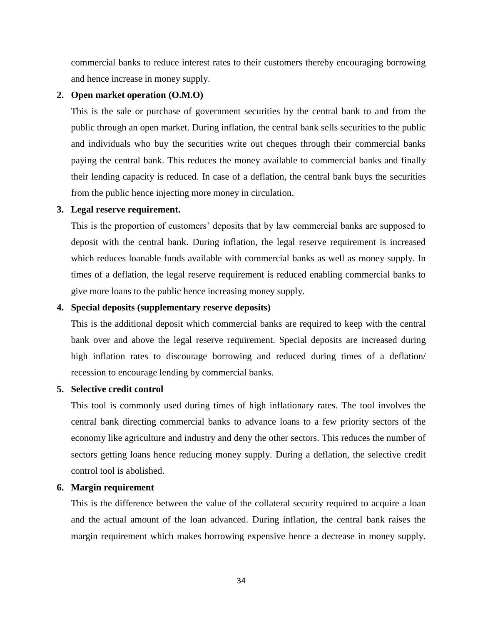commercial banks to reduce interest rates to their customers thereby encouraging borrowing and hence increase in money supply.

### **2. Open market operation (O.M.O)**

This is the sale or purchase of government securities by the central bank to and from the public through an open market. During inflation, the central bank sells securities to the public and individuals who buy the securities write out cheques through their commercial banks paying the central bank. This reduces the money available to commercial banks and finally their lending capacity is reduced. In case of a deflation, the central bank buys the securities from the public hence injecting more money in circulation.

#### **3. Legal reserve requirement.**

This is the proportion of customers' deposits that by law commercial banks are supposed to deposit with the central bank. During inflation, the legal reserve requirement is increased which reduces loanable funds available with commercial banks as well as money supply. In times of a deflation, the legal reserve requirement is reduced enabling commercial banks to give more loans to the public hence increasing money supply.

## **4. Special deposits (supplementary reserve deposits)**

This is the additional deposit which commercial banks are required to keep with the central bank over and above the legal reserve requirement. Special deposits are increased during high inflation rates to discourage borrowing and reduced during times of a deflation/ recession to encourage lending by commercial banks.

#### **5. Selective credit control**

This tool is commonly used during times of high inflationary rates. The tool involves the central bank directing commercial banks to advance loans to a few priority sectors of the economy like agriculture and industry and deny the other sectors. This reduces the number of sectors getting loans hence reducing money supply. During a deflation, the selective credit control tool is abolished.

#### **6. Margin requirement**

This is the difference between the value of the collateral security required to acquire a loan and the actual amount of the loan advanced. During inflation, the central bank raises the margin requirement which makes borrowing expensive hence a decrease in money supply.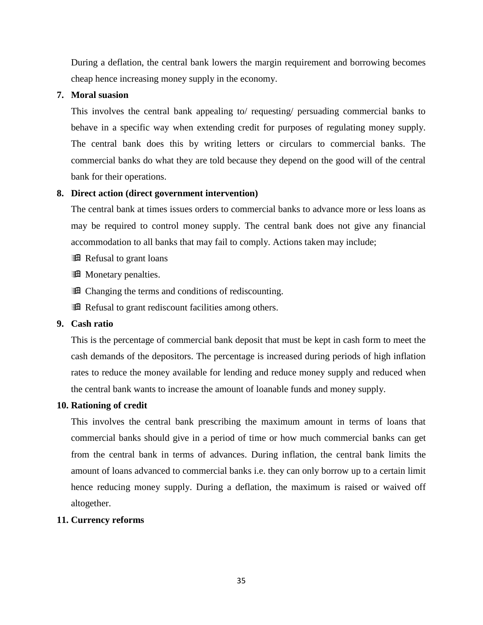During a deflation, the central bank lowers the margin requirement and borrowing becomes cheap hence increasing money supply in the economy.

### **7. Moral suasion**

This involves the central bank appealing to/ requesting/ persuading commercial banks to behave in a specific way when extending credit for purposes of regulating money supply. The central bank does this by writing letters or circulars to commercial banks. The commercial banks do what they are told because they depend on the good will of the central bank for their operations.

## **8. Direct action (direct government intervention)**

The central bank at times issues orders to commercial banks to advance more or less loans as may be required to control money supply. The central bank does not give any financial accommodation to all banks that may fail to comply. Actions taken may include;

- **Refusal to grant loans**
- **Example 3** Monetary penalties.
- **Example 1** Changing the terms and conditions of rediscounting.
- **Refusal to grant rediscount facilities among others.**

## **9. Cash ratio**

This is the percentage of commercial bank deposit that must be kept in cash form to meet the cash demands of the depositors. The percentage is increased during periods of high inflation rates to reduce the money available for lending and reduce money supply and reduced when the central bank wants to increase the amount of loanable funds and money supply.

## **10. Rationing of credit**

This involves the central bank prescribing the maximum amount in terms of loans that commercial banks should give in a period of time or how much commercial banks can get from the central bank in terms of advances. During inflation, the central bank limits the amount of loans advanced to commercial banks i.e. they can only borrow up to a certain limit hence reducing money supply. During a deflation, the maximum is raised or waived off altogether.

## **11. Currency reforms**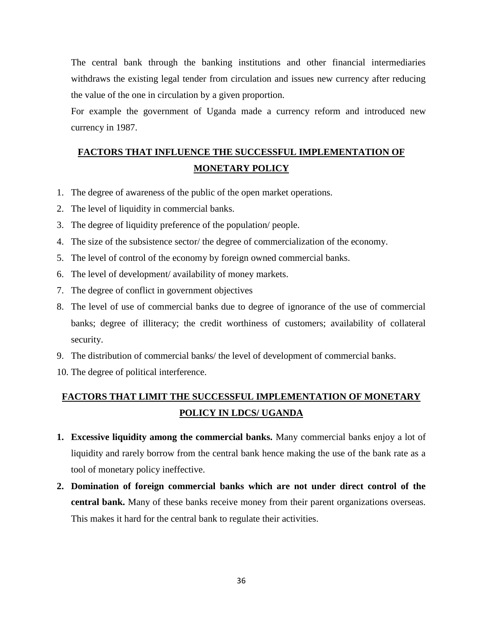The central bank through the banking institutions and other financial intermediaries withdraws the existing legal tender from circulation and issues new currency after reducing the value of the one in circulation by a given proportion.

For example the government of Uganda made a currency reform and introduced new currency in 1987.

## **FACTORS THAT INFLUENCE THE SUCCESSFUL IMPLEMENTATION OF MONETARY POLICY**

- 1. The degree of awareness of the public of the open market operations.
- 2. The level of liquidity in commercial banks.
- 3. The degree of liquidity preference of the population/ people.
- 4. The size of the subsistence sector/ the degree of commercialization of the economy.
- 5. The level of control of the economy by foreign owned commercial banks.
- 6. The level of development/ availability of money markets.
- 7. The degree of conflict in government objectives
- 8. The level of use of commercial banks due to degree of ignorance of the use of commercial banks; degree of illiteracy; the credit worthiness of customers; availability of collateral security.
- 9. The distribution of commercial banks/ the level of development of commercial banks.
- 10. The degree of political interference.

## **FACTORS THAT LIMIT THE SUCCESSFUL IMPLEMENTATION OF MONETARY POLICY IN LDCS/ UGANDA**

- **1. Excessive liquidity among the commercial banks.** Many commercial banks enjoy a lot of liquidity and rarely borrow from the central bank hence making the use of the bank rate as a tool of monetary policy ineffective.
- **2. Domination of foreign commercial banks which are not under direct control of the central bank.** Many of these banks receive money from their parent organizations overseas. This makes it hard for the central bank to regulate their activities.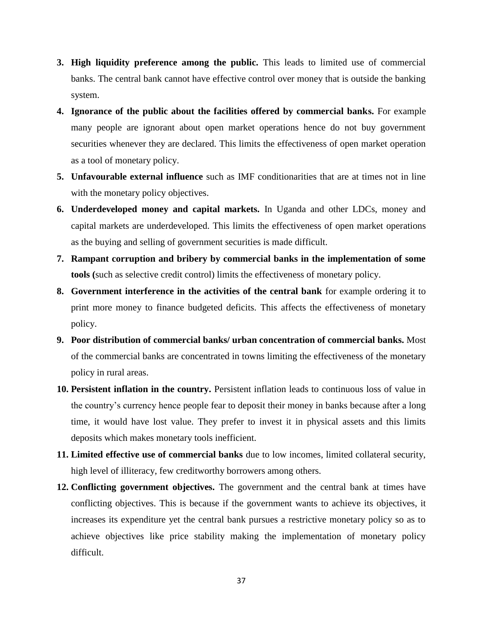- **3. High liquidity preference among the public.** This leads to limited use of commercial banks. The central bank cannot have effective control over money that is outside the banking system.
- **4. Ignorance of the public about the facilities offered by commercial banks.** For example many people are ignorant about open market operations hence do not buy government securities whenever they are declared. This limits the effectiveness of open market operation as a tool of monetary policy.
- **5. Unfavourable external influence** such as IMF conditionarities that are at times not in line with the monetary policy objectives.
- **6. Underdeveloped money and capital markets.** In Uganda and other LDCs, money and capital markets are underdeveloped. This limits the effectiveness of open market operations as the buying and selling of government securities is made difficult.
- **7. Rampant corruption and bribery by commercial banks in the implementation of some tools (**such as selective credit control) limits the effectiveness of monetary policy.
- **8. Government interference in the activities of the central bank** for example ordering it to print more money to finance budgeted deficits. This affects the effectiveness of monetary policy.
- **9. Poor distribution of commercial banks/ urban concentration of commercial banks.** Most of the commercial banks are concentrated in towns limiting the effectiveness of the monetary policy in rural areas.
- **10. Persistent inflation in the country.** Persistent inflation leads to continuous loss of value in the country's currency hence people fear to deposit their money in banks because after a long time, it would have lost value. They prefer to invest it in physical assets and this limits deposits which makes monetary tools inefficient.
- **11. Limited effective use of commercial banks** due to low incomes, limited collateral security, high level of illiteracy, few creditworthy borrowers among others.
- **12. Conflicting government objectives.** The government and the central bank at times have conflicting objectives. This is because if the government wants to achieve its objectives, it increases its expenditure yet the central bank pursues a restrictive monetary policy so as to achieve objectives like price stability making the implementation of monetary policy difficult.